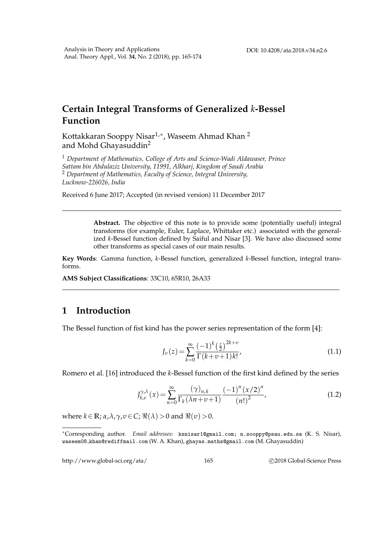# **Certain Integral Transforms of Generalized** *k***-Bessel Function**

Kottakkaran Sooppy Nisar $^{1,\ast}$ , Waseem Ahmad Khan  $^2$ and Mohd Ghayasuddin<sup>2</sup>

<sup>1</sup> *Department of Mathematics, College of Arts and Science-Wadi Aldawaser, Prince Sattam bin Abdulaziz University, 11991, Alkharj, Kingdom of Saudi Arabia* <sup>2</sup> *Department of Mathematics, Faculty of Science, Integral University, Lucknow-226026, India*

Received 6 June 2017; Accepted (in revised version) 11 December 2017

**Abstract.** The objective of this note is to provide some (potentially useful) integral transforms (for example, Euler, Laplace, Whittaker etc.) associated with the generalized *k*-Bessel function defined by Saiful and Nisar [3]. We have also discussed some other transforms as special cases of our main results.

**Key Words**: Gamma function, *k*-Bessel function, generalized *k*-Bessel function, integral transforms.

**AMS Subject Classifications**: 33C10, 65R10, 26A33

## **1 Introduction**

The Bessel function of fist kind has the power series representation of the form [4]:

$$
J_{\nu}(z) = \sum_{k=0}^{\infty} \frac{(-1)^k \left(\frac{z}{2}\right)^{2k+\nu}}{\Gamma(k+\nu+1)k!},\tag{1.1}
$$

Romero et al. [16] introduced the *k*-Bessel function of the first kind defined by the series

$$
J_{k,\nu}^{\gamma,\lambda}(x) = \sum_{n=0}^{\infty} \frac{(\gamma)_{n,k}}{\Gamma_k(\lambda n + \nu + 1)} \frac{(-1)^n (x/2)^n}{(n!)^2},
$$
\n(1.2)

where  $k \in \mathbb{R}$ ;  $\alpha, \lambda, \gamma, \upsilon \in C$ ;  $\Re(\lambda) > 0$  and  $\Re(\upsilon) > 0$ .

http://www.global-sci.org/ata/ 165 (2018 Global-Science Press

<sup>∗</sup>Corresponding author. *Email addresses:* ksnisar1@gmail.com; n.sooppy@psau.edu.sa (K. S. Nisar), waseem08 khan@rediffmail.com (W. A. Khan), ghayas.maths@gmail.com (M. Ghayasuddin)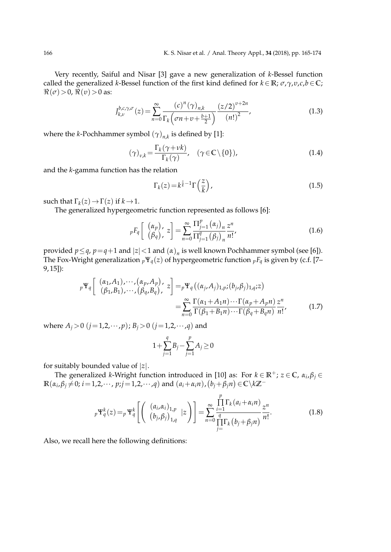Very recently, Saiful and Nisar [3] gave a new generalization of *k*-Bessel function called the generalized *k*-Bessel function of the first kind defined for  $k \in \mathbb{R}$ ;  $\sigma$ ,  $\gamma$ ,  $v$ ,  $c$ , $b \in \mathbb{C}$ ;  $\Re(\sigma) > 0$ ,  $\Re(v) > 0$  as:

$$
J_{k,\nu}^{b,c,\gamma,\sigma}(z) = \sum_{n=0}^{\infty} \frac{(c)^n (\gamma)_{n,k}}{\Gamma_k (\sigma n + \nu + \frac{b+1}{2})} \frac{(z/2)^{\nu+2n}}{(n!)^2},
$$
(1.3)

where the *k*-Pochhammer symbol  $(\gamma)_{n,k}$  is defined by [1]:

$$
(\gamma)_{\nu,k} = \frac{\Gamma_k(\gamma + \nu k)}{\Gamma_k(\gamma)}, \quad (\gamma \in \mathbb{C} \setminus \{0\}), \tag{1.4}
$$

and the *k*-gamma function has the relation

$$
\Gamma_k(z) = k^{\frac{z}{k} - 1} \Gamma\left(\frac{z}{k}\right),\tag{1.5}
$$

such that  $\Gamma_k(z) \to \Gamma(z)$  if  $k \to 1$ .

The generalized hypergeometric function represented as follows [6]:

$$
{}_{p}F_{q}\left[\begin{array}{c}(\alpha_{p})\\(\beta_{q})\end{array}z\right]=\sum_{n=0}^{\infty}\frac{\Pi_{j=1}^{p}(\alpha_{j})_{n}}{\Pi_{j=1}^{q}(\beta_{j})_{n}}\frac{z^{n}}{n!},\qquad(1.6)
$$

provided  $p \leq q$ ,  $p = q + 1$  and  $|z| < 1$  and  $(\alpha)_n$  is well known Pochhammer symbol (see [6]). The Fox-Wright generalization  $p\Psi_q(z)$  of hypergeometric function  $pF_q$  is given by (c.f. [7– 9, 15]):

$$
{}_{p}\Psi_{q}\left[\begin{array}{c}(\alpha_{1},A_{1}),\cdots,(\alpha_{p},A_{p}),\\(\beta_{1},B_{1}),\cdots,(\beta_{q},B_{q}),\end{array}z\right]={}_{p}\Psi_{q}\left((\alpha_{j},A_{j})_{1,p};(b_{j},\beta_{j})_{1,q};z\right)
$$

$$
=\sum_{n=0}^{\infty}\frac{\Gamma(\alpha_{1}+A_{1}n)\cdots\Gamma(\alpha_{p}+A_{p}n)}{\Gamma(\beta_{1}+B_{1}n)\cdots\Gamma(\beta_{q}+B_{q}n)}\frac{z^{n}}{n!},\qquad(1.7)
$$

where  $A_i > 0$  ( $j = 1, 2, \dots, p$ );  $B_i > 0$  ( $j = 1, 2, \dots, q$ ) and

$$
1 + \sum_{j=1}^{q} B_j - \sum_{j=1}^{p} A_j \ge 0
$$

for suitably bounded value of |*z*|.

The generalized *k*-Wright function introduced in [10] as: For  $k \in \mathbb{R}^+$ ;  $z \in \mathbb{C}$ ,  $\alpha_i, \beta_j \in \mathbb{C}$  $\mathbb{R}(\alpha_i, \beta_j \neq 0; i = 1, 2, \cdots, p; j = 1, 2, \cdots, q)$  and  $(a_i + \alpha_i n)$ ,  $(b_j + \beta_j n) \in \mathbb{C} \setminus k\mathbb{Z}^{-1}$ 

$$
{}_{p}\Psi_{q}^{k}(z) = {}_{p}\Psi_{q}^{k}\left[\begin{pmatrix} (a_{i}, \alpha_{i})_{1, p} & z \\ (b_{j}, \beta_{j})_{1, q} & z \end{pmatrix}\right] = \sum_{n=0}^{\infty} \frac{\prod_{i=1}^{p} \Gamma_{k}(a_{i} + \alpha_{i}n)}{\prod_{j=1}^{q} \Gamma_{k}(b_{j} + \beta_{j}n)} \frac{z^{n}}{n!}.
$$
 (1.8)

Also, we recall here the following definitions: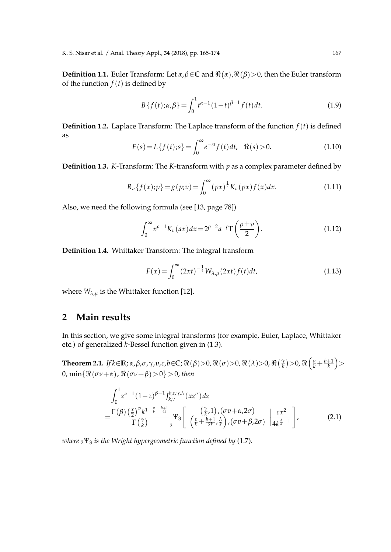**Definition 1.1.** Euler Transform: Let  $\alpha, \beta \in \mathbb{C}$  and  $\Re(\alpha), \Re(\beta) > 0$ , then the Euler transform of the function  $f(t)$  is defined by

$$
B\{f(t); \alpha, \beta\} = \int_0^1 t^{\alpha - 1} (1 - t)^{\beta - 1} f(t) dt.
$$
 (1.9)

**Definition 1.2.** Laplace Transform: The Laplace transform of the function  $f(t)$  is defined as

$$
F(s) = L\{f(t); s\} = \int_0^\infty e^{-st} f(t) dt, \quad \Re(s) > 0.
$$
 (1.10)

**Definition 1.3.** *K*-Transform: The *K*-transform with *p* as a complex parameter defined by

$$
R_v\{f(x);p\} = g(p;v) = \int_0^\infty (px)^{\frac{1}{2}} K_v(px)f(x)dx.
$$
 (1.11)

Also, we need the following formula (see [13, page 78])

$$
\int_0^\infty x^{\rho-1} K_v(ax) dx = 2^{\rho-2} a^{-\rho} \Gamma\left(\frac{\rho \pm v}{2}\right). \tag{1.12}
$$

**Definition 1.4.** Whittaker Transform: The integral transform

$$
F(x) = \int_0^\infty (2xt)^{-\frac{1}{4}} W_{\lambda,\mu}(2xt) f(t) dt,
$$
\n(1.13)

where  $W_{\lambda,\mu}$  is the Whittaker function [12].

## **2 Main results**

In this section, we give some integral transforms (for example, Euler, Laplace, Whittaker etc.) of generalized *k*-Bessel function given in (1.3).

Theorem 2.1. If  $k{\in}\mathbb{R}$ ;  $\alpha,\beta,\sigma,\gamma,\upsilon,c,b{\in}\mathbb{C}$ ;  $\Re(\beta){>}0$ ,  $\Re(\sigma){>}0$ ,  $\Re(\lambda){>}0$ ,  $\Re\left(\frac{\gamma}{k}\right){>}0$ ,  $\Re\left(\frac{\nu}{k}+\frac{b+1}{k}\right){>}$ 0, min $\{\Re(\sigma v + \alpha), \Re(\sigma v + \beta) > 0\} > 0$ , then

$$
\int_0^1 z^{\alpha-1} (1-z)^{\beta-1} J_{k,\nu}^{b,c,\gamma,\lambda} (xz^{\sigma}) dz
$$
\n
$$
= \frac{\Gamma(\beta) \left(\frac{x}{2}\right)^{\nu} k^{1-\frac{\nu}{k} - \frac{b+1}{2k}}}{\Gamma(\frac{\gamma}{k})} \Psi_3 \left[ \begin{array}{c} \left(\frac{\gamma}{k},1\right), (\sigma v + \alpha, 2\sigma) \\ \left(\frac{v}{k} + \frac{b+1}{2k}, \frac{\lambda}{k}\right), (\sigma v + \beta, 2\sigma) \end{array} \bigg| \frac{cx^2}{4k^{\frac{\lambda}{k}-1}} \right],
$$
\n(2.1)

*where* <sup>2</sup>Ψ<sup>3</sup> *is the Wright hypergeometric function defined by* (1.7)*.*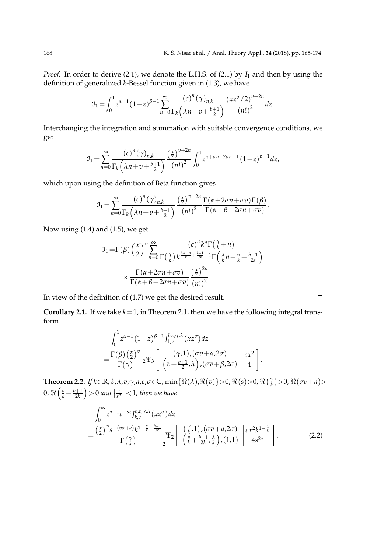*Proof.* In order to derive (2.1), we denote the L.H.S. of (2.1) by  $I_1$  and then by using the definition of generalized *k*-Bessel function given in (1.3), we have

$$
\mathcal{I}_1 = \int_0^1 z^{\alpha - 1} (1 - z)^{\beta - 1} \sum_{n=0}^\infty \frac{(c)^n (\gamma)_{n,k}}{\Gamma_k \left(\lambda n + v + \frac{b+1}{2}\right)} \frac{(xz^\sigma / 2)^{v+2n}}{(n!)^2} dz.
$$

Interchanging the integration and summation with suitable convergence conditions, we get

$$
\mathcal{I}_1 = \sum_{n=0}^{\infty} \frac{\left(c\right)^n (\gamma)_{n,k}}{\Gamma_k \left(\lambda n + v + \frac{b+1}{2}\right)} \frac{\left(\frac{x}{2}\right)^{v+2n}}{\left(n!\right)^2} \int_0^1 z^{\alpha + \sigma v + 2\sigma n - 1} (1-z)^{\beta - 1} dz,
$$

which upon using the definition of Beta function gives

$$
J_1 = \sum_{n=0}^{\infty} \frac{(c)^n (\gamma)_{n,k}}{\Gamma_k (\lambda n + v + \frac{b+1}{2})} \frac{\left(\frac{x}{2}\right)^{v+2n} \Gamma(\alpha + 2\sigma n + \sigma v) \Gamma(\beta)}{\Gamma(\alpha + \beta + 2\sigma n + \sigma v)}.
$$

Now using (1.4) and (1.5), we get

$$
\mathcal{I}_1 = \Gamma(\beta) \left(\frac{x}{2}\right)^v \sum_{n=0}^{\infty} \frac{\left(c\right)^n k^n \Gamma\left(\frac{\gamma}{k} + n\right)}{\Gamma\left(\frac{\gamma}{k}\right) k^{\frac{\lambda n + \mu}{k} + \frac{l+1}{2k} - 1} \Gamma\left(\frac{\lambda}{k} n + \frac{v}{k} + \frac{b+1}{2k}\right)} \times \frac{\Gamma\left(\alpha + 2\sigma n + \sigma v\right)}{\Gamma\left(\alpha + \beta + 2\sigma n + \sigma v\right)} \frac{\left(\frac{x}{2}\right)^{2n}}{\left(n!\right)^2}.
$$

In view of the definition of (1.7) we get the desired result.

**Corollary 2.1.** If we take  $k=1$ , in Theorem 2.1, then we have the following integral transform

$$
\int_0^1 z^{\alpha-1} (1-z)^{\beta-1} J_{1,\nu}^{b,c,\gamma,\lambda}(xz^{\sigma}) dz
$$
  
= 
$$
\frac{\Gamma(\beta) \left(\frac{x}{2}\right)^v}{\Gamma(\gamma)} {}_2\Psi_3 \left[ \begin{array}{c} (\gamma,1), (\sigma v + \alpha,2\sigma) \\ (v + \frac{b+1}{2}, \lambda), (\sigma v + \beta,2\sigma) \end{array} \middle| \frac{cx^2}{4} \right].
$$

**Theorem 2.2.** If  $k \in \mathbb{R}$ , b,  $\lambda$ ,  $v$ ,  $\gamma$ ,  $a$ ,  $c$ ,  $\sigma \in \mathbb{C}$ ,  $\min\{\Re(\lambda), \Re(v)\} > 0$ ,  $\Re(s) > 0$ ,  $\Re(\frac{\gamma}{k}) > 0$ ,  $\Re(\sigma v + a) > 0$  $0, \, \Re\left(\frac{v}{k} + \frac{b+1}{2k}\right) > 0$  and  $\left|\frac{x}{s^{\sigma}}\right| < 1$ , then we have

$$
\int_0^\infty z^{a-1} e^{-sz} J_{k,\nu}^{b,c,\gamma,\lambda}(xz^{\sigma}) dz
$$
\n
$$
= \frac{\left(\frac{x}{2}\right)^v s^{-(v\sigma+a)} k^{1-\frac{v}{k} - \frac{b+1}{2k}}}{\Gamma\left(\frac{\gamma}{k}\right)} \Psi_2 \left[ \begin{array}{c} \left(\frac{\gamma}{k},1\right), (\sigma v + a, 2\sigma) \\ \left(\frac{v}{k} + \frac{b+1}{2k}, \frac{\lambda}{k}\right), (1,1) \end{array} \middle| \frac{cx^2 k^{1-\frac{\lambda}{k}}}{4s^{2\sigma}} \right].
$$
\n(2.2)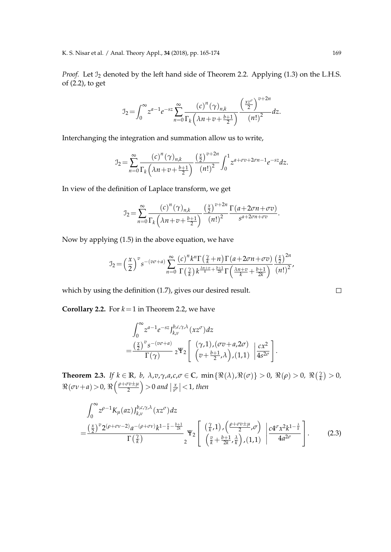*Proof.* Let  $\mathcal{I}_2$  denoted by the left hand side of Theorem 2.2. Applying (1.3) on the L.H.S. of (2.2), to get

$$
J_2 = \int_0^\infty z^{a-1} e^{-sz} \sum_{n=0}^\infty \frac{(c)^n (\gamma)_{n,k}}{\Gamma_k \left(\lambda n + v + \frac{b+1}{2}\right)} \frac{\left(\frac{xz^{\sigma}}{2}\right)^{v+2n}}{\left(n!\right)^2} dz.
$$

Interchanging the integration and summation allow us to write,

$$
\mathcal{I}_2 = \sum_{n=0}^{\infty} \frac{\left(c\right)^n (\gamma)_{n,k}}{\Gamma_k \left(\lambda n + v + \frac{b+1}{2}\right)} \frac{\left(\frac{x}{2}\right)^{v+2n}}{\left(n!\right)^2} \int_0^1 z^{a+\sigma v + 2\sigma n - 1} e^{-sz} dz.
$$

In view of the definition of Laplace transform, we get

$$
J_2 = \sum_{n=0}^{\infty} \frac{(c)^n (\gamma)_{n,k}}{\Gamma_k \left(\lambda n + v + \frac{b+1}{2}\right)} \frac{\left(\frac{x}{2}\right)^{v+2n} \Gamma\left(a+2\sigma n + \sigma v\right)}{\left(n!\right)^2}.
$$

Now by applying (1.5) in the above equation, we have

$$
\mathcal{I}_2 = \left(\frac{x}{2}\right)^v s^{-(v\sigma+a)} \sum_{n=0}^{\infty} \frac{\left(c\right)^n k^n \Gamma\left(\frac{\gamma}{k}+n\right) \Gamma\left(a+2\sigma n+\sigma v\right)}{\Gamma\left(\frac{\gamma}{k}\right) k^{\frac{\lambda n+v}{k}+\frac{b+1}{2k}} \Gamma\left(\frac{\lambda n+v}{k}+\frac{b+1}{2k}\right)} \frac{\left(\frac{x}{2}\right)^{2n}}{\left(n!\right)^2},
$$

which by using the definition (1.7), gives our desired result.

**Corollary 2.2.** For  $k = 1$  in Theorem 2.2, we have

$$
\int_0^\infty z^{a-1} e^{-sz} J_{k,\nu}^{b,c,\gamma,\lambda}(xz^{\sigma}) dz
$$
  
=
$$
\frac{\left(\frac{x}{2}\right)^v s^{-(v\sigma+a)}}{\Gamma(\gamma)} {}_2\Psi_2 \left[ \begin{array}{c} (\gamma,1),(\sigma v+a,2\sigma) \\ (v+\frac{b+1}{2},\lambda), (1,1) \end{array} \left| \frac{cx^2}{4s^{2\sigma}} \right. \right].
$$

**Theorem 2.3.** *If*  $k \in \mathbb{R}$ *, b,*  $\lambda$ ,*v*, $\gamma$ ,*a*, $c$ , $\sigma \in \mathbb{C}$ *,* min $\{\Re(\lambda), \Re(\sigma)\} > 0$ ,  $\Re(\rho) > 0$ ,  $\Re(\frac{\gamma}{k}) > 0$ ,  $\Re(\sigma \nu + a) > 0$ ,  $\Re\left(\frac{\rho + \sigma v \pm \mu}{2}\right)$  $\left\lfloor \frac{rv\pm\mu}{2}\right\rfloor >0$  and  $\left\lfloor \frac{x}{s^{\sigma}}\right\rfloor < 1$ , then

$$
\int_0^\infty z^{\rho-1} K_\mu(az) J_{k,\nu}^{b,c,\gamma,\lambda}(xz^{\sigma}) dz
$$
\n
$$
= \frac{\left(\frac{x}{2}\right)^{\nu} 2^{(\rho+\sigma\nu-2)} a^{-(\rho+\sigma\nu)} k^{1-\frac{\nu}{k}-\frac{b+1}{2k}}}{\Gamma\left(\frac{\gamma}{k}\right)} \Psi_2 \left[ \begin{array}{c} \left(\frac{\gamma}{k},1\right), \left(\frac{\rho+\sigma\nu\pm\mu}{2},\sigma\right) \\ \left(\frac{\nu}{k}+\frac{b+1}{2k},\frac{\lambda}{k}\right), (1,1) \end{array} \middle| \frac{c4^{\sigma} x^2 k^{1-\frac{\lambda}{k}}}{4a^{2\sigma}} \right].
$$
\n(2.3)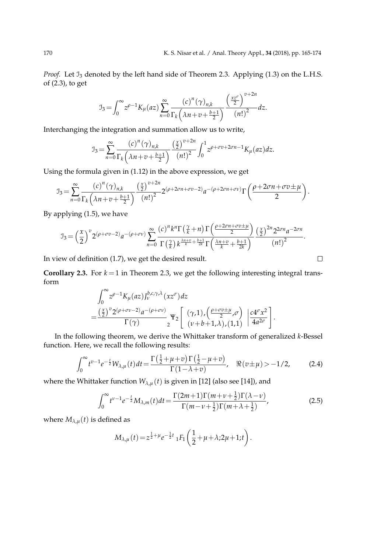*Proof.* Let  $\mathcal{I}_3$  denoted by the left hand side of Theorem 2.3. Applying (1.3) on the L.H.S. of (2.3), to get

$$
\mathfrak{I}_{3} = \int_{0}^{\infty} z^{\rho-1} K_{\mu}(az) \sum_{n=0}^{\infty} \frac{(c)^{n} (\gamma)_{n,k}}{\Gamma_{k} (\lambda n + v + \frac{b+1}{2})} \frac{\left(\frac{x z^{\sigma}}{2}\right)^{v+2n}}{(n!)^{2}} dz.
$$

Interchanging the integration and summation allow us to write,

$$
J_3 = \sum_{n=0}^{\infty} \frac{(c)^n (\gamma)_{n,k}}{\Gamma_k (\lambda n + v + \frac{b+1}{2})} \frac{\left(\frac{x}{2}\right)^{v+2n}}{(n!)^2} \int_0^1 z^{\rho + \sigma v + 2\sigma n - 1} K_\mu(az) dz.
$$

Using the formula given in (1.12) in the above expression, we get

$$
J_3 = \sum_{n=0}^{\infty} \frac{\left(c\right)^n (\gamma)_{n,k}}{\Gamma_k \left(\lambda n + v + \frac{b+1}{2}\right)} \frac{\left(\frac{x}{2}\right)^{v+2n}}{\left(n!\right)^2} 2^{(\rho+2\sigma n + \sigma v - 2)} a^{-(\rho+2\sigma n + \sigma v)} \Gamma\left(\frac{\rho+2\sigma n + \sigma v \pm \mu}{2}\right).
$$

By applying (1.5), we have

$$
J_3 = \left(\frac{x}{2}\right)^v 2^{(\rho + \sigma v - 2)} a^{-(\rho + \sigma v)} \sum_{n=0}^{\infty} \frac{(c)^n k^n \Gamma\left(\frac{\gamma}{k} + n\right) \Gamma\left(\frac{\rho + 2\sigma n + \sigma v \pm \mu}{2}\right)}{\Gamma\left(\frac{\gamma}{k}\right) k^{\frac{\lambda n + v}{k} + \frac{b+1}{2k}} \Gamma\left(\frac{\lambda n + v}{k} + \frac{b+1}{2k}\right)} \frac{\left(\frac{x}{2}\right)^{2n} 2^{2\sigma n} a^{-2\sigma n}}{\left(n!\right)^2}.
$$

In view of definition (1.7), we get the desired result.

**Corollary 2.3.** For  $k = 1$  in Theorem 2.3, we get the following interesting integral transform  $\sim$ 

$$
\int_0^\infty z^{\rho-1} K_\mu(az) J_\nu^{b,c,\gamma,\lambda}(xz^\sigma) dz = \frac{\left(\frac{x}{2}\right)^v 2^{(\rho+\sigma v-2)} a^{-(\rho+\sigma v)}}{\Gamma(\gamma)} \Psi_2 \left[ \begin{array}{c} (\gamma,1), \left(\frac{\rho+\sigma v \pm \mu}{2}, \sigma\right) \\ (v+b+1,\lambda), (1,1) \end{array} \middle| \frac{c4^\sigma x^2}{4a^{2\sigma}} \right].
$$

In the following theorem, we derive the Whittaker transform of generalized *k*-Bessel function. Here, we recall the following results:

$$
\int_0^\infty t^{v-1} e^{-\frac{t}{2}} W_{\lambda,\mu}(t) dt = \frac{\Gamma(\frac{1}{2} + \mu + v) \Gamma(\frac{1}{2} - \mu + v)}{\Gamma(1 - \lambda + v)}, \quad \Re(v \pm \mu) > -1/2,
$$
 (2.4)

where the Whittaker function  $W_{\lambda,\mu}(t)$  is given in [12] (also see [14]), and

$$
\int_0^{\infty} t^{\nu-1} e^{-\frac{t}{2}} M_{\lambda,m}(t) dt = \frac{\Gamma(2m+1)\Gamma(m+\nu+\frac{1}{2})\Gamma(\lambda-\nu)}{\Gamma(m-\nu+\frac{1}{2})\Gamma(m+\lambda+\frac{1}{2})},
$$
(2.5)

where  $M_{\lambda,\mu}(t)$  is defined as

$$
M_{\lambda,\mu}(t) = z^{\frac{1}{2} + \mu} e^{-\frac{1}{2}t} {}_1F_1\left(\frac{1}{2} + \mu + \lambda; 2\mu + 1; t\right).
$$

$$
\qquad \qquad \Box
$$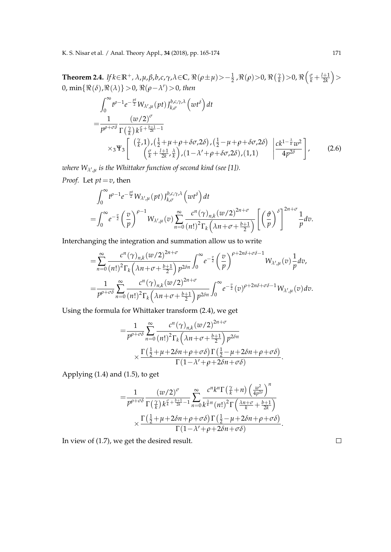Theorem 2.4. If  $k\in\mathbb{R}^+$ ,  $\lambda$ ,  $\mu$ ,  $\beta$ ,  $b$ ,  $c$ ,  $\gamma$ ,  $\lambda$   $\in$  C,  $\Re(\rho\pm\mu)$   $>$   $-\frac{1}{2}$  ,  $\Re(\rho)$   $>$   $0$ ,  $\Re\left(\frac{\gamma}{k}\right)$   $>$   $0$ ,  $\Re\left(\frac{\sigma}{k}+\frac{l+1}{2k}\right)$   $>$  $0, \min\{\Re(\delta), \Re(\lambda)\} > 0, \Re(\rho - \lambda') > 0$ , then

$$
\int_0^\infty t^{\rho-1} e^{-\frac{pt}{2}} W_{\lambda',\mu}(pt) J_{k,\sigma}^{b,c,\gamma,\lambda}(wt^{\delta}) dt \n= \frac{1}{p^{\rho+\sigma\delta}} \frac{(w/2)^{\sigma}}{\Gamma(\frac{\gamma}{k}) k^{\frac{\sigma}{k}+\frac{b+1}{2k}-1}} \n\times_3 \Psi_3 \left[ \frac{\left(\frac{\gamma}{k},1\right), \left(\frac{1}{2}+\mu+\rho+\delta\sigma,2\delta\right), \left(\frac{1}{2}-\mu+\rho+\delta\sigma,2\delta\right)}{\left(\frac{\sigma}{k}+\frac{l+1}{2k},\frac{\lambda}{k}\right), (1-\lambda'+\rho+\delta\sigma,2\delta), (1,1)} \right] \frac{ck^{1-\frac{\lambda}{k}}w^2}{4p^{2\delta}} \right],
$$
\n(2.6)

*where Wλ*<sup>0</sup> ,*<sup>µ</sup> is the Whittaker function of second kind (see [1]).*

*Proof.* Let *pt*=*v*, then

$$
\int_0^\infty t^{\rho-1} e^{-\frac{pt}{2}} W_{\lambda',\mu}(pt) J_{k,\sigma}^{b,c,\gamma,\lambda}(wt^\delta) dt \n= \int_0^\infty e^{-\frac{v}{2}} \left(\frac{v}{p}\right)^{\rho-1} W_{\lambda',\mu}(v) \sum_{n=0}^\infty \frac{c^n(\gamma)_{n,k} (w/2)^{2n+\sigma}}{(n!)^2 \Gamma_k(\lambda n + \sigma + \frac{b+1}{2})} \left[ \left(\frac{\vartheta}{p}\right)^\delta \right]^{2n+\sigma} \frac{1}{p} dv.
$$

Interchanging the integration and summation allow us to write

$$
= \sum_{n=0}^{\infty} \frac{c^n (\gamma)_{n,k} (w/2)^{2n+\sigma}}{(n!)^2 \Gamma_k \left(\lambda n + \sigma + \frac{b+1}{2}\right) p^{2\delta n}} \int_0^{\infty} e^{-\frac{v}{2}} \left(\frac{v}{p}\right)^{\rho+2n\delta+\sigma\delta-1} W_{\lambda',\mu}(v) \frac{1}{p} dv,
$$
  

$$
= \frac{1}{p^{\rho+\sigma\delta}} \sum_{n=0}^{\infty} \frac{c^n (\gamma)_{n,k} (w/2)^{2n+\sigma}}{(n!)^2 \Gamma_k \left(\lambda n + \sigma + \frac{b+1}{2}\right) p^{2\delta n}} \int_0^{\infty} e^{-\frac{v}{2}} (v)^{\rho+2n\delta+\sigma\delta-1} W_{\lambda',\mu}(v) dv.
$$

Using the formula for Whittaker transform (2.4), we get

$$
=\frac{1}{p^{\rho+\sigma\delta}}\sum_{n=0}^{\infty}\frac{c^n(\gamma)_{n,k}(w/2)^{2n+\sigma}}{(n!)^2\Gamma_k(\lambda n+\sigma+\frac{b+1}{2})p^{2\delta n}}\times\frac{\Gamma(\frac{1}{2}+\mu+2\delta n+\rho+\sigma\delta)\Gamma(\frac{1}{2}-\mu+2\delta n+\rho+\sigma\delta)}{\Gamma(1-\lambda'+\rho+2\delta n+\sigma\delta)}.
$$

Applying (1.4) and (1.5), to get

$$
=\frac{1}{p^{\rho+\sigma\delta}}\frac{\left(w/2\right)^{\sigma}}{\Gamma\left(\frac{\gamma}{k}\right)k^{\frac{\sigma}{k}+\frac{b+1}{2k}-1}}\sum_{n=0}^{\infty}\frac{c^{n}k^{n}\Gamma\left(\frac{\gamma}{k}+n\right)\left(\frac{w^{2}}{4p^{2\delta}}\right)^{n}}{k^{\frac{\lambda}{k}n}\left(n!\right)^{2}\Gamma\left(\frac{\lambda n+\sigma}{k}+\frac{b+1}{2k}\right)}\\ \times\frac{\Gamma\left(\frac{1}{2}+\mu+2\delta n+\rho+\sigma\delta\right)\Gamma\left(\frac{1}{2}-\mu+2\delta n+\rho+\sigma\delta\right)}{\Gamma(1-\lambda'+\rho+2\delta n+\sigma\delta)}.
$$

In view of (1.7), we get the desired result.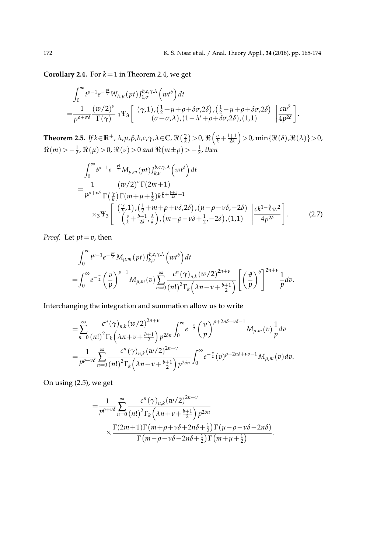**Corollary 2.4.** For  $k = 1$  in Theorem 2.4, we get

$$
\int_0^{\infty} t^{\rho-1} e^{-\frac{pt}{2}} W_{\lambda,\mu}(pt) J_{1,\sigma}^{b,c,\gamma,\lambda}(wt^{\delta}) dt \n= \frac{1}{p^{\rho+\sigma\delta}} \frac{(w/2)^{\sigma}}{\Gamma(\gamma)} {}_3\Psi_3 \left[ \begin{array}{c} (\gamma,1), (\frac{1}{2}+\mu+\rho+\delta\sigma,2\delta), (\frac{1}{2}-\mu+\rho+\delta\sigma,2\delta) \\ (\sigma+\sigma,\lambda), (1-\lambda'+\rho+\delta\sigma,2\delta), (1,1) \end{array} \right] \frac{cw^2}{4p^{2\delta}} \right].
$$

**Theorem 2.5.** If  $k \in \mathbb{R}^+$ ,  $\lambda$ ,  $\mu$ ,  $\beta$ ,  $b$ ,  $c$ ,  $\gamma$ ,  $\lambda$   $\in$  C,  $\Re\left(\frac{\gamma}{k}\right)$   $>$   $0$ ,  $\Re\left(\frac{\sigma}{k}+\frac{l+1}{2k}\right)$   $>$   $0$ ,  $\min\{\Re(\delta),\Re(\lambda)\}$   $>$   $0$ ,  $\Re(m) > -\frac{1}{2}$ ,  $\Re(\mu) > 0$ ,  $\Re(\nu) > 0$  and  $\Re(m \pm \rho) > -\frac{1}{2}$ , then

$$
\int_0^\infty t^{\rho-1} e^{-\frac{pt}{2}} M_{\mu,m}(pt) J_{k,\nu}^{b,c,\gamma,\lambda} \left(wt^{\delta}\right) dt \n= \frac{1}{p^{\rho+\nu\delta}} \frac{\left(w/2\right)^{\nu} \Gamma(2m+1)}{\Gamma\left(\frac{\gamma}{k}\right) \Gamma(m+\mu+\frac{1}{2}) k^{\frac{\nu}{k}+\frac{b+1}{2k}-1}} \n\times_3 \Psi_3 \left[ \begin{array}{c} \left(\frac{\gamma}{k},1\right), \left(\frac{1}{2}+m+\rho+\nu\delta,2\delta\right), \left(\mu-\rho-\nu\delta,-2\delta\right) \\ \left(\frac{\nu}{k}+\frac{b+1}{2k},\frac{\lambda}{k}\right), \left(m-\rho-\nu\delta+\frac{1}{2},-2\delta\right), (1,1) \end{array} \right] \frac{ck^{1-\frac{\lambda}{k}}w^2}{4p^{2\delta}} \right].
$$
\n(2.7)

*Proof.* Let *pt*=*v*, then

$$
\int_0^\infty t^{\rho-1} e^{-\frac{pt}{2}} M_{\mu,m}(pt) J_{k,\nu}^{b,c,\gamma,\lambda} (wt^\delta) dt
$$
  
= 
$$
\int_0^\infty e^{-\frac{v}{2}} \left(\frac{v}{p}\right)^{\rho-1} M_{\mu,m}(v) \sum_{n=0}^\infty \frac{c^n (\gamma)_{n,k} (w/2)^{2n+\nu}}{(n!)^2 \Gamma_k \left(\lambda n + \nu + \frac{b+1}{2}\right)} \left[ \left(\frac{\vartheta}{p}\right)^\delta \right]^{2n+\nu} \frac{1}{p} dv.
$$

Interchanging the integration and summation allow us to write

$$
= \sum_{n=0}^{\infty} \frac{c^n (\gamma)_{n,k} (w/2)^{2n+\nu}}{(n!)^2 \Gamma_k (\lambda n + \nu + \frac{b+1}{2}) p^{2\delta n}} \int_0^{\infty} e^{-\frac{v}{2}} \left(\frac{v}{p}\right)^{\rho+2n\delta + \nu \delta - 1} M_{\mu,m}(v) \frac{1}{p} dv
$$
  

$$
= \frac{1}{p^{\rho+\nu \delta}} \sum_{n=0}^{\infty} \frac{c^n (\gamma)_{n,k} (w/2)^{2n+\nu}}{(n!)^2 \Gamma_k (\lambda n + \nu + \frac{b+1}{2}) p^{2\delta n}} \int_0^{\infty} e^{-\frac{v}{2}} (v)^{\rho+2n\delta + \nu \delta - 1} M_{\mu,m}(v) dv.
$$

On using (2.5), we get

$$
=\frac{1}{p^{\rho+\nu\delta}}\sum_{n=0}^{\infty}\frac{c^n(\gamma)_{n,k}(w/2)^{2n+\nu}}{(n!)^2\Gamma_k(\lambda n+\nu+\frac{b+1}{2})p^{2\delta n}}\times\frac{\Gamma(2m+1)\Gamma(m+\rho+\nu\delta+2n\delta+\frac{1}{2})\Gamma(\mu-\rho-\nu\delta-2n\delta)}{\Gamma(m-\rho-\nu\delta-2n\delta+\frac{1}{2})\Gamma(m+\mu+\frac{1}{2})}.
$$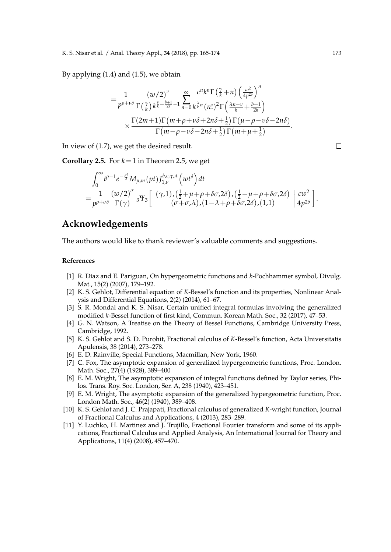By applying (1.4) and (1.5), we obtain

$$
=\frac{1}{p^{\rho+\nu\delta}}\frac{\left(w/2\right)^{\nu}}{\Gamma\left(\frac{\gamma}{k}\right)k^{\frac{\nu}{k}+\frac{b+1}{2k}-1}}\sum_{n=0}^{\infty}\frac{c^{n}k^{n}\Gamma\left(\frac{\gamma}{k}+n\right)\left(\frac{w^{2}}{4p^{2\delta}}\right)^{n}}{\kappa^{\frac{\lambda}{k}n}(n!)^{2}\Gamma\left(\frac{\lambda n+\nu}{k}+\frac{b+1}{2k}\right)}\\ \times\frac{\Gamma(2m+1)\Gamma\left(m+\rho+\nu\delta+2n\delta+\frac{1}{2}\right)\Gamma\left(\mu-\rho-\nu\delta-2n\delta\right)}{\Gamma\left(m-\rho-\nu\delta-2n\delta+\frac{1}{2}\right)\Gamma\left(m+\mu+\frac{1}{2}\right)}.
$$

In view of (1.7), we get the desired result.

**Corollary 2.5.** For  $k = 1$  in Theorem 2.5, we get

$$
\int_0^{\infty} t^{\rho-1} e^{-\frac{pt}{2}} M_{\mu,m}(pt) J_{1,\nu}^{b,c,\gamma,\lambda} (wt^{\delta}) dt \n= \frac{1}{p^{\rho+\sigma\delta}} \frac{(w/2)^{\sigma}}{\Gamma(\gamma)} {}_3\Psi_3 \left[ \begin{array}{c} (\gamma,1), (\frac{1}{2}+\mu+\rho+\delta\sigma,2\delta), (\frac{1}{2}-\mu+\rho+\delta\sigma,2\delta) \\ (\sigma+\sigma,\lambda), (1-\lambda+\rho+\delta\sigma,2\delta), (1,1) \end{array} \left| \frac{cw^2}{4p^{2\delta}} \right. \right].
$$

## **Acknowledgements**

The authors would like to thank reviewer's valuable comments and suggestions.

#### **References**

- [1] R. Díaz and E. Pariguan, On hypergeometric functions and *k*-Pochhammer symbol, Divulg. Mat., 15(2) (2007), 179–192.
- [2] K. S. Gehlot, Differential equation of *K*-Bessel's function and its properties, Nonlinear Analysis and Differential Equations, 2(2) (2014), 61–67.
- [3] S. R. Mondal and K. S. Nisar, Certain unified integral formulas involving the generalized modified *k*-Bessel function of first kind, Commun. Korean Math. Soc., 32 (2017), 47–53.
- [4] G. N. Watson, A Treatise on the Theory of Bessel Functions, Cambridge University Press, Cambridge, 1992.
- [5] K. S. Gehlot and S. D. Purohit, Fractional calculus of *K*-Bessel's function, Acta Universitatis Apulensis, 38 (2014), 273–278.
- [6] E. D. Rainville, Special Functions, Macmillan, New York, 1960.
- [7] C. Fox, The asymptotic expansion of generalized hypergeometric functions, Proc. London. Math. Soc., 27(4) (1928), 389–400
- [8] E. M. Wright, The asymptotic expansion of integral functions defined by Taylor series, Philos. Trans. Roy. Soc. London, Ser. A, 238 (1940), 423–451.
- [9] E. M. Wright, The asymptotic expansion of the generalized hypergeometric function, Proc. London Math. Soc., 46(2) (1940), 389–408.
- [10] K. S. Gehlot and J. C. Prajapati, Fractional calculus of generalized *K*-wright function, Journal of Fractional Calculus and Applications, 4 (2013), 283–289.
- [11] Y. Luchko, H. Martinez and J. Trujillo, Fractional Fourier transform and some of its applications, Fractional Calculus and Applied Analysis, An International Journal for Theory and Applications, 11(4) (2008), 457–470.